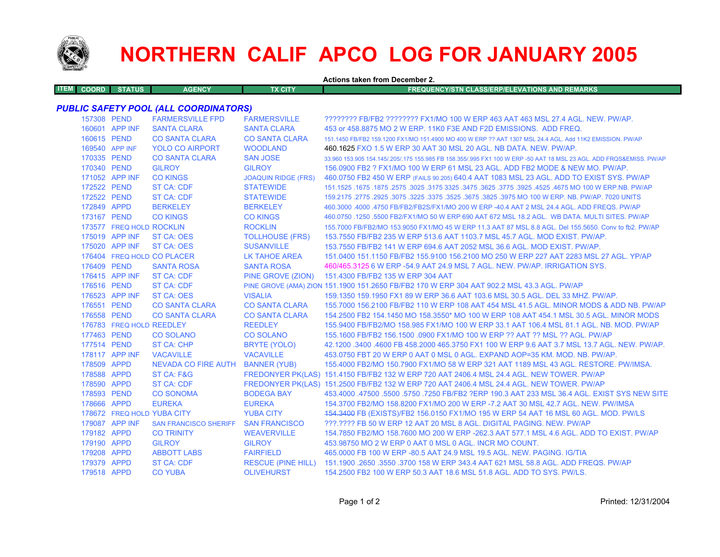

## **NORTHERN CALIF APCO LOG FOR JANUARY 2005**

| <b>Actions taken from December 2.</b> |                            |                                              |                            |                                                                                                                     |  |  |
|---------------------------------------|----------------------------|----------------------------------------------|----------------------------|---------------------------------------------------------------------------------------------------------------------|--|--|
| <b>ITEM</b><br><b>COORD</b>           | <b>STATUS</b>              | <b>AGENCY</b>                                | <b>TX CITY</b>             | <b>FREQUENCY/STN CLASS/ERP/ELEVATIONS AND REMARKS</b>                                                               |  |  |
|                                       |                            |                                              |                            |                                                                                                                     |  |  |
|                                       |                            | <b>PUBLIC SAFETY POOL (ALL COORDINATORS)</b> |                            |                                                                                                                     |  |  |
|                                       | 157308 PEND                | <b>FARMERSVILLE FPD</b>                      | <b>FARMERSVILLE</b>        | ???????? FB/FB2 ???????? FX1/MO 100 W ERP 463 AAT 463 MSL 27.4 AGL. NEW. PW/AP.                                     |  |  |
|                                       | 160601 APP INF             | <b>SANTA CLARA</b>                           | <b>SANTA CLARA</b>         | 453 or 458,8875 MO 2 W ERP, 11K0 F3E AND F2D EMISSIONS. ADD FREQ.                                                   |  |  |
| 160615 PEND                           |                            | <b>CO SANTA CLARA</b>                        | <b>CO SANTA CLARA</b>      | 151.1450 FB/FB2 159.1200 FX1/MO 151.4900 MO 400 W ERP ?? AAT 1307 MSL 24.4 AGL. Add 11K2 EMISSION. PW/AP            |  |  |
|                                       | 169540 APP INF             | <b>YOLO CO AIRPORT</b>                       | <b>WOODLAND</b>            | 460.1625 FXO 1.5 W ERP 30 AAT 30 MSL 20 AGL. NB DATA. NEW. PW/AP.                                                   |  |  |
| 170335 PEND                           |                            | <b>CO SANTA CLARA</b>                        | <b>SAN JOSE</b>            | 33.960 153.905 154.145/.205/.175 155.985 FB 158.355/.995 FX1 100 W ERP -50 AAT 18 MSL 23 AGL. ADD FRQS&EMISS. PW/AP |  |  |
| 170340 PEND                           |                            | <b>GILROY</b>                                | <b>GILROY</b>              | 156,0900 FB2 ? FX1/MO 100 W ERP 61 MSL 23 AGL, ADD FB2 MODE & NEW MO, PW/AP.                                        |  |  |
|                                       | 171052 APP INF             | <b>CO KINGS</b>                              | <b>JOAQUIN RIDGE (FRS)</b> | 460.0750 FB2 450 W ERP (FAILS 90.205) 640.4 AAT 1083 MSL 23 AGL. ADD TO EXIST SYS. PW/AP                            |  |  |
| 172522 PEND                           |                            | <b>ST CA: CDF</b>                            | <b>STATEWIDE</b>           | 1675.1675. T675.1625.1675. 2025. 2025. 2775.3625. 3475. 2025. 2025. 2025. 2025. 2575. 1675. 1675. 167               |  |  |
| 172522 PEND                           |                            | ST CA: CDF                                   | <b>STATEWIDE</b>           | 159,2175,2775,2925,3075,3225,3375,3525,3675,3825,3975 MO 100 W ERP, NB, PW/AP, 7020 UNITS                           |  |  |
| 172849 APPD                           |                            | <b>BERKELEY</b>                              | <b>BERKELEY</b>            | 460.3000 .4000 .4750 FB/FB2/FB2S/FX1/MO 200 W ERP -40.4 AAT 2 MSL 24.4 AGL. ADD FREQS. PW/AP                        |  |  |
| 173167 PEND                           |                            | <b>CO KINGS</b>                              | <b>CO KINGS</b>            | 460.0750 .1250 .5500 FB2/FX1/MO 50 W ERP 690 AAT 672 MSL 18.2 AGL. WB DATA. MULTI SITES. PW/AP                      |  |  |
|                                       | 173577 FREQ HOLD ROCKLIN   |                                              | <b>ROCKLIN</b>             | 155,7000 FB/FB2/MO 153,9050 FX1/MO 45 W ERP 11.3 AAT 87 MSL 8.8 AGL, Del 155,5650, Conv to fb2, PW/AP               |  |  |
|                                       | 175019 APP INF             | ST CA: OES                                   | <b>TOLLHOUSE (FRS)</b>     | 153.7550 FB/FB2 235 W ERP 513.6 AAT 1103.7 MSL 45.7 AGL, MOD EXIST, PW/AP.                                          |  |  |
|                                       | 175020 APP INF             | ST CA: OES                                   | <b>SUSANVILLE</b>          | 153.7550 FB/FB2 141 W ERP 694.6 AAT 2052 MSL 36.6 AGL. MOD EXIST. PW/AP.                                            |  |  |
|                                       |                            | 176404 FREQ HOLD CO PLACER                   | <b>LK TAHOE AREA</b>       | 151.0400 151.1150 FB/FB2 155.9100 156.2100 MO 250 W ERP 227 AAT 2283 MSL 27 AGL, YP/AP                              |  |  |
| 176409 PEND                           |                            | <b>SANTA ROSA</b>                            | <b>SANTA ROSA</b>          | 460/465.3125 6 W ERP -54.9 AAT 24.9 MSL 7 AGL, NEW, PW/AP, IRRIGATION SYS.                                          |  |  |
|                                       | 176415 APP INF             | ST CA: CDF                                   | PINE GROVE (ZION)          | 151.4300 FB/FB2 135 W ERP 304 AAT                                                                                   |  |  |
| 176516 PEND                           |                            | <b>ST CA: CDF</b>                            |                            | PINE GROVE (AMA) ZION 151.1900 151.2650 FB/FB2 170 W ERP 304 AAT 902.2 MSL 43.3 AGL. PW/AP                          |  |  |
|                                       | 176523 APP INF             | <b>ST CA: OES</b>                            | <b>VISALIA</b>             | 159.1350 159.1950 FX1 89 W ERP 36.6 AAT 103.6 MSL 30.5 AGL, DEL 33 MHZ, PW/AP,                                      |  |  |
| 176551 PEND                           |                            | <b>CO SANTA CLARA</b>                        | <b>CO SANTA CLARA</b>      | 155,7000 156,2100 FB/FB2 110 W ERP 108 AAT 454 MSL 41.5 AGL, MINOR MODS & ADD NB, PW/AP                             |  |  |
| 176558 PEND                           |                            | <b>CO SANTA CLARA</b>                        | <b>CO SANTA CLARA</b>      | 154.2500 FB2 154.1450 MO 158.3550* MO 100 W ERP 108 AAT 454.1 MSL 30.5 AGL. MINOR MODS                              |  |  |
|                                       | 176783 FREQ HOLD REEDLEY   |                                              | <b>REEDLEY</b>             | 155.9400 FB/FB2/MO 158.985 FX1/MO 100 W ERP 33.1 AAT 106.4 MSL 81.1 AGL. NB. MOD. PW/AP                             |  |  |
|                                       | 177463 PEND                | <b>CO SOLANO</b>                             | <b>CO SOLANO</b>           | 155.1600 FB/FB2 156.1500 .0900 FX1/MO 100 W ERP ?? AAT ?? MSL ?? AGL, PW/AP                                         |  |  |
| 177514 PEND                           |                            | ST CA: CHP                                   | <b>BRYTE (YOLO)</b>        | 42.1200 .3400 .4600 FB 458.2000 465.3750 FX1 100 W ERP 9.6 AAT 3.7 MSL 13.7 AGL. NEW. PW/AP.                        |  |  |
|                                       | 178117 APP INF             | <b>VACAVILLE</b>                             | <b>VACAVILLE</b>           | 453.0750 FBT 20 W ERP 0 AAT 0 MSL 0 AGL. EXPAND AOP=35 KM, MOD, NB, PW/AP,                                          |  |  |
| 178509 APPD                           |                            | NEVADA CO FIRE AUTH BANNER (YUB)             |                            | 155.4000 FB2/MO 150.7900 FX1/MO 58 W ERP 321 AAT 1189 MSL 43 AGL. RESTORE. PW/IMSA.                                 |  |  |
| 178588 APPD                           |                            | ST CA: F&G                                   |                            | FREDONYER PK(LAS) 151.4150 FB/FB2 132 W ERP 720 AAT 2406.4 MSL 24.4 AGL. NEW TOWER. PW/AP                           |  |  |
| 178590 APPD                           |                            | ST CA: CDF                                   |                            | FREDONYER PK(LAS) 151.2500 FB/FB2 132 W ERP 720 AAT 2406.4 MSL 24.4 AGL. NEW TOWER. PW/AP                           |  |  |
| 178593 PEND                           |                            | <b>CO SONOMA</b>                             | <b>BODEGA BAY</b>          | 453,4000 .47500 .5500 .5750 .7250 FB/FB2 ?ERP 190.3 AAT 233 MSL 36.4 AGL. EXIST SYS NEW SITE                        |  |  |
| 178666 APPD                           |                            | <b>EUREKA</b>                                | <b>EUREKA</b>              | 154.3700 FB2/MO 158.8200 FX1/MO 200 W ERP -7.2 AAT 30 MSL 42.7 AGL, NEW, PW/IMSA                                    |  |  |
|                                       | 178672 FREQ HOLD YUBA CITY |                                              | <b>YUBA CITY</b>           | 454.3400 FB (EXISTS)/FB2 156.0150 FX1/MO 195 W ERP 54 AAT 16 MSL 60 AGL. MOD. PW/LS                                 |  |  |
|                                       | 179087 APP INF             | <b>SAN FRANCISCO SHERIFF</b>                 | <b>SAN FRANCISCO</b>       | ???.???? FB 50 W ERP 12 AAT 20 MSL 8 AGL. DIGITAL PAGING. NEW. PW/AP                                                |  |  |
| 179182 APPD                           |                            | <b>CO TRINITY</b>                            | <b>WEAVERVILLE</b>         | 154.7850 FB2/MO 158.7600 MO 200 W ERP -262.3 AAT 577.1 MSL 4.6 AGL. ADD TO EXIST. PW/AP                             |  |  |
| 179190 APPD                           |                            | <b>GILROY</b>                                | <b>GILROY</b>              | 453.98750 MO 2 W ERP 0 AAT 0 MSL 0 AGL. INCR MO COUNT.                                                              |  |  |
| 179208 APPD                           |                            | <b>ABBOTT LABS</b>                           | <b>FAIRFIELD</b>           | 465,0000 FB 100 W ERP -80.5 AAT 24.9 MSL 19.5 AGL, NEW, PAGING, IG/TIA                                              |  |  |
| 179379 APPD                           |                            | ST CA: CDF                                   | <b>RESCUE (PINE HILL)</b>  | 151.1900 .2650 .3550 .3700 158 W ERP 343.4 AAT 621 MSL 58.8 AGL. ADD FREQS, PW/AP                                   |  |  |
| 179518 APPD                           |                            | <b>CO YUBA</b>                               | <b>OLIVEHURST</b>          | 154.2500 FB2 100 W ERP 50.3 AAT 18.6 MSL 51.8 AGL. ADD TO SYS. PW/LS.                                               |  |  |